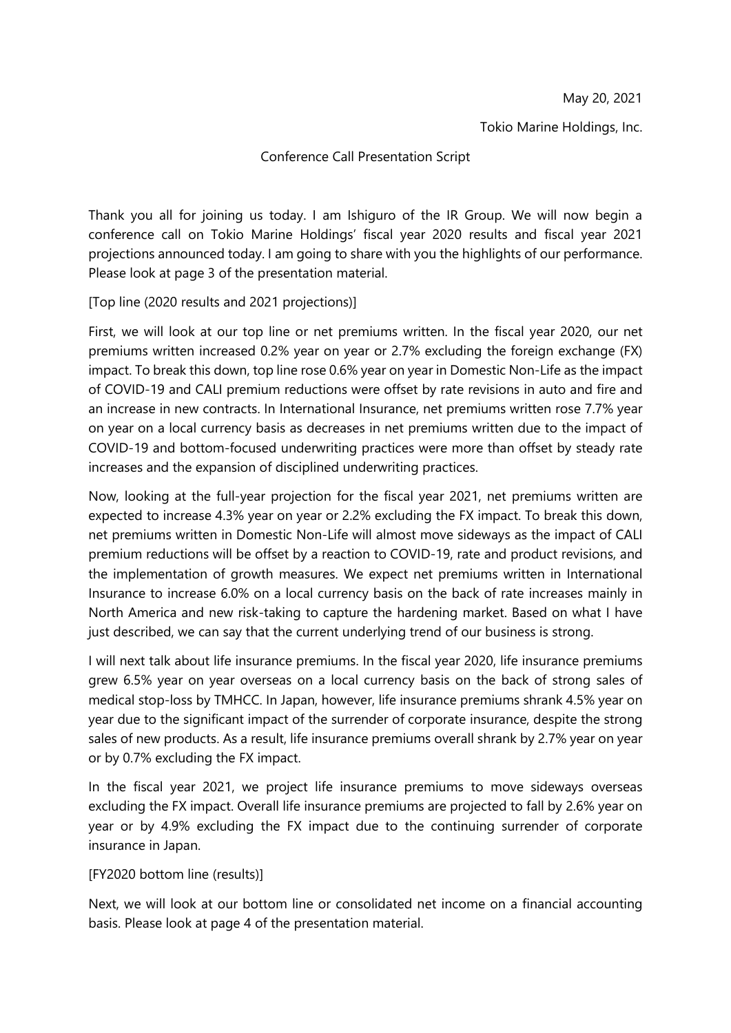Tokio Marine Holdings, Inc.

## Conference Call Presentation Script

Thank you all for joining us today. I am Ishiguro of the IR Group. We will now begin a conference call on Tokio Marine Holdings' fiscal year 2020 results and fiscal year 2021 projections announced today. I am going to share with you the highlights of our performance. Please look at page 3 of the presentation material.

[Top line (2020 results and 2021 projections)]

First, we will look at our top line or net premiums written. In the fiscal year 2020, our net premiums written increased 0.2% year on year or 2.7% excluding the foreign exchange (FX) impact. To break this down, top line rose 0.6% year on year in Domestic Non-Life as the impact of COVID-19 and CALI premium reductions were offset by rate revisions in auto and fire and an increase in new contracts. In International Insurance, net premiums written rose 7.7% year on year on a local currency basis as decreases in net premiums written due to the impact of COVID-19 and bottom-focused underwriting practices were more than offset by steady rate increases and the expansion of disciplined underwriting practices.

Now, looking at the full-year projection for the fiscal year 2021, net premiums written are expected to increase 4.3% year on year or 2.2% excluding the FX impact. To break this down, net premiums written in Domestic Non-Life will almost move sideways as the impact of CALI premium reductions will be offset by a reaction to COVID-19, rate and product revisions, and the implementation of growth measures. We expect net premiums written in International Insurance to increase 6.0% on a local currency basis on the back of rate increases mainly in North America and new risk-taking to capture the hardening market. Based on what I have just described, we can say that the current underlying trend of our business is strong.

I will next talk about life insurance premiums. In the fiscal year 2020, life insurance premiums grew 6.5% year on year overseas on a local currency basis on the back of strong sales of medical stop-loss by TMHCC. In Japan, however, life insurance premiums shrank 4.5% year on year due to the significant impact of the surrender of corporate insurance, despite the strong sales of new products. As a result, life insurance premiums overall shrank by 2.7% year on year or by 0.7% excluding the FX impact.

In the fiscal year 2021, we project life insurance premiums to move sideways overseas excluding the FX impact. Overall life insurance premiums are projected to fall by 2.6% year on year or by 4.9% excluding the FX impact due to the continuing surrender of corporate insurance in Japan.

## [FY2020 bottom line (results)]

Next, we will look at our bottom line or consolidated net income on a financial accounting basis. Please look at page 4 of the presentation material.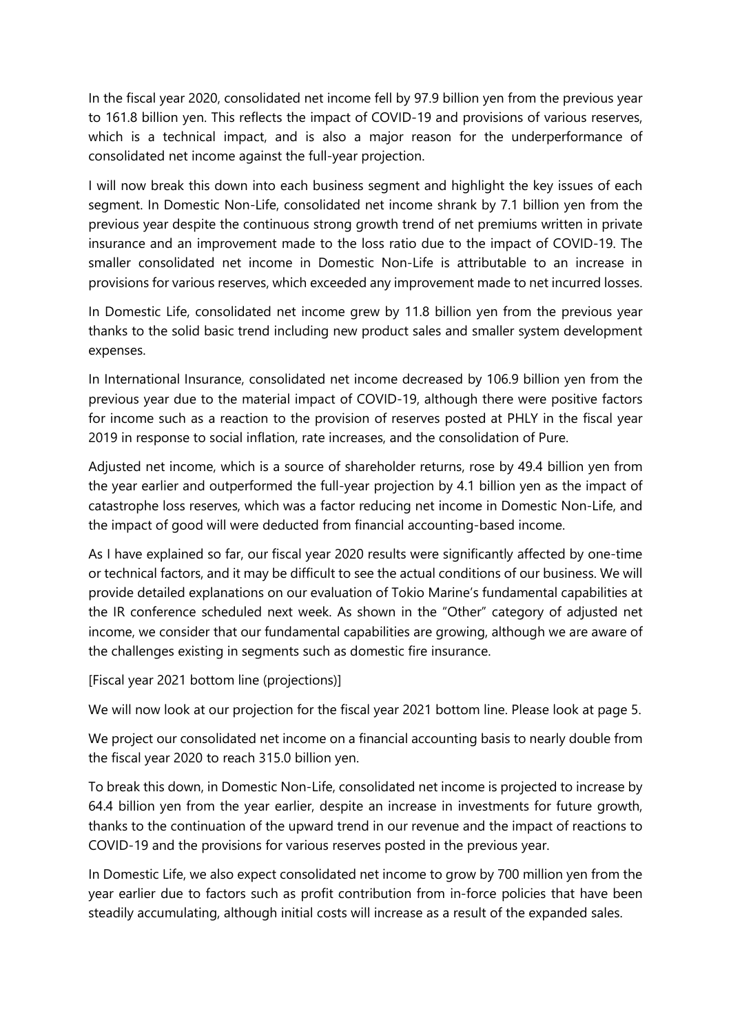In the fiscal year 2020, consolidated net income fell by 97.9 billion yen from the previous year to 161.8 billion yen. This reflects the impact of COVID-19 and provisions of various reserves, which is a technical impact, and is also a major reason for the underperformance of consolidated net income against the full-year projection.

I will now break this down into each business segment and highlight the key issues of each segment. In Domestic Non-Life, consolidated net income shrank by 7.1 billion yen from the previous year despite the continuous strong growth trend of net premiums written in private insurance and an improvement made to the loss ratio due to the impact of COVID-19. The smaller consolidated net income in Domestic Non-Life is attributable to an increase in provisions for various reserves, which exceeded any improvement made to net incurred losses.

In Domestic Life, consolidated net income grew by 11.8 billion yen from the previous year thanks to the solid basic trend including new product sales and smaller system development expenses.

In International Insurance, consolidated net income decreased by 106.9 billion yen from the previous year due to the material impact of COVID-19, although there were positive factors for income such as a reaction to the provision of reserves posted at PHLY in the fiscal year 2019 in response to social inflation, rate increases, and the consolidation of Pure.

Adjusted net income, which is a source of shareholder returns, rose by 49.4 billion yen from the year earlier and outperformed the full-year projection by 4.1 billion yen as the impact of catastrophe loss reserves, which was a factor reducing net income in Domestic Non-Life, and the impact of good will were deducted from financial accounting-based income.

As I have explained so far, our fiscal year 2020 results were significantly affected by one-time or technical factors, and it may be difficult to see the actual conditions of our business. We will provide detailed explanations on our evaluation of Tokio Marine's fundamental capabilities at the IR conference scheduled next week. As shown in the "Other" category of adjusted net income, we consider that our fundamental capabilities are growing, although we are aware of the challenges existing in segments such as domestic fire insurance.

[Fiscal year 2021 bottom line (projections)]

We will now look at our projection for the fiscal year 2021 bottom line. Please look at page 5.

We project our consolidated net income on a financial accounting basis to nearly double from the fiscal year 2020 to reach 315.0 billion yen.

To break this down, in Domestic Non-Life, consolidated net income is projected to increase by 64.4 billion yen from the year earlier, despite an increase in investments for future growth, thanks to the continuation of the upward trend in our revenue and the impact of reactions to COVID-19 and the provisions for various reserves posted in the previous year.

In Domestic Life, we also expect consolidated net income to grow by 700 million yen from the year earlier due to factors such as profit contribution from in-force policies that have been steadily accumulating, although initial costs will increase as a result of the expanded sales.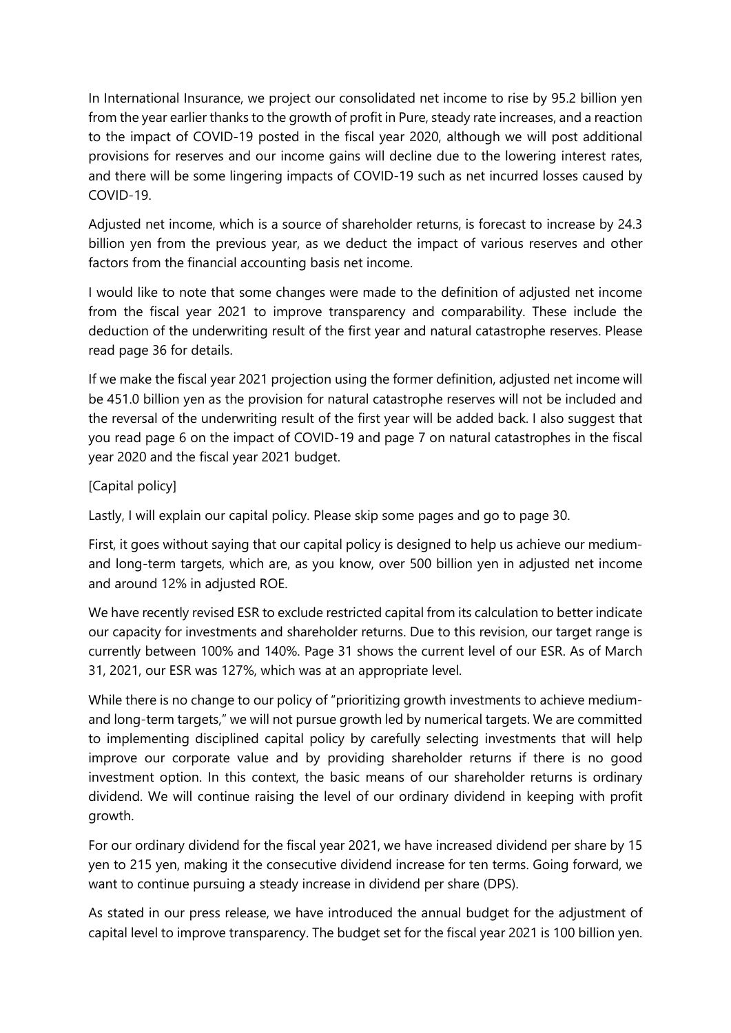In International Insurance, we project our consolidated net income to rise by 95.2 billion yen from the year earlier thanks to the growth of profit in Pure, steady rate increases, and a reaction to the impact of COVID-19 posted in the fiscal year 2020, although we will post additional provisions for reserves and our income gains will decline due to the lowering interest rates, and there will be some lingering impacts of COVID-19 such as net incurred losses caused by COVID-19.

Adjusted net income, which is a source of shareholder returns, is forecast to increase by 24.3 billion yen from the previous year, as we deduct the impact of various reserves and other factors from the financial accounting basis net income.

I would like to note that some changes were made to the definition of adjusted net income from the fiscal year 2021 to improve transparency and comparability. These include the deduction of the underwriting result of the first year and natural catastrophe reserves. Please read page 36 for details.

If we make the fiscal year 2021 projection using the former definition, adjusted net income will be 451.0 billion yen as the provision for natural catastrophe reserves will not be included and the reversal of the underwriting result of the first year will be added back. I also suggest that you read page 6 on the impact of COVID-19 and page 7 on natural catastrophes in the fiscal year 2020 and the fiscal year 2021 budget.

## [Capital policy]

Lastly, I will explain our capital policy. Please skip some pages and go to page 30.

First, it goes without saying that our capital policy is designed to help us achieve our mediumand long-term targets, which are, as you know, over 500 billion yen in adjusted net income and around 12% in adjusted ROE.

We have recently revised ESR to exclude restricted capital from its calculation to better indicate our capacity for investments and shareholder returns. Due to this revision, our target range is currently between 100% and 140%. Page 31 shows the current level of our ESR. As of March 31, 2021, our ESR was 127%, which was at an appropriate level.

While there is no change to our policy of "prioritizing growth investments to achieve mediumand long-term targets," we will not pursue growth led by numerical targets. We are committed to implementing disciplined capital policy by carefully selecting investments that will help improve our corporate value and by providing shareholder returns if there is no good investment option. In this context, the basic means of our shareholder returns is ordinary dividend. We will continue raising the level of our ordinary dividend in keeping with profit growth.

For our ordinary dividend for the fiscal year 2021, we have increased dividend per share by 15 yen to 215 yen, making it the consecutive dividend increase for ten terms. Going forward, we want to continue pursuing a steady increase in dividend per share (DPS).

As stated in our press release, we have introduced the annual budget for the adjustment of capital level to improve transparency. The budget set for the fiscal year 2021 is 100 billion yen.